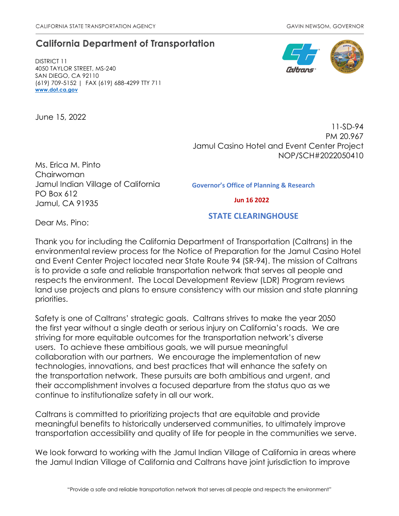# **California Department of Transportation**

DISTRICT 11 4050 TAYLOR STREET, MS-240 SAN DIEGO, CA 92110 (619) 709-5152 | FAX (619) 688-4299 TTY 711 **[www.dot.ca.gov](http://www.dot.ca.gov/)**

June 15, 2022



11-SD-94 PM 20.967 Jamul Casino Hotel and Event Center Project NOP/SCH#2022050410

Ms. Erica M. Pinto Chairwoman Jamul Indian Village of California PO Box 612 Jamul, CA 91935

Governor's Office of Planning & Research

Jun 16 2022

Dear Ms. Pino:

STATE CLEARINGHOUSE

Thank you for including the California Department of Transportation (Caltrans) in the environmental review process for the Notice of Preparation for the Jamul Casino Hotel and Event Center Project located near State Route 94 (SR-94). The mission of Caltrans is to provide a safe and reliable transportation network that serves all people and respects the environment. The Local Development Review (LDR) Program reviews land use projects and plans to ensure consistency with our mission and state planning priorities.

Safety is one of Caltrans' strategic goals. Caltrans strives to make the year 2050 the first year without a single death or serious injury on California's roads. We are striving for more equitable outcomes for the transportation network's diverse users. To achieve these ambitious goals, we will pursue meaningful collaboration with our partners. We encourage the implementation of new technologies, innovations, and best practices that will enhance the safety on the transportation network. These pursuits are both ambitious and urgent, and their accomplishment involves a focused departure from the status quo as we continue to institutionalize safety in all our work.

Caltrans is committed to prioritizing projects that are equitable and provide meaningful benefits to historically underserved communities, to ultimately improve transportation accessibility and quality of life for people in the communities we serve.

We look forward to working with the Jamul Indian Village of California in areas where the Jamul Indian Village of California and Caltrans have joint jurisdiction to improve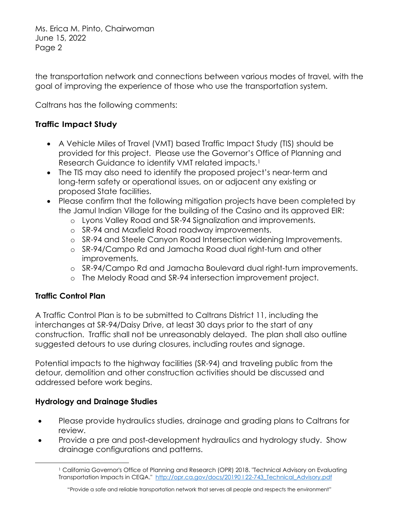the transportation network and connections between various modes of travel, with the goal of improving the experience of those who use the transportation system.

Caltrans has the following comments:

# **Traffic Impact Study**

- A Vehicle Miles of Travel (VMT) based Traffic Impact Study (TIS) should be provided for this project. Please use the Governor's Office of Planning and Research Guidance to identify VMT related impacts.<sup>1</sup>
- The TIS may also need to identify the proposed project's near-term and long-term safety or operational issues, on or adjacent any existing or proposed State facilities.
- Please confirm that the following mitigation projects have been completed by the Jamul Indian Village for the building of the Casino and its approved EIR:
	- o Lyons Valley Road and SR-94 Signalization and improvements.
	- o SR-94 and Maxfield Road roadway improvements.
	- o SR-94 and Steele Canyon Road Intersection widening Improvements.
	- o SR-94/Campo Rd and Jamacha Road dual right-turn and other improvements.
	- o SR-94/Campo Rd and Jamacha Boulevard dual right-turn improvements.
	- o The Melody Road and SR-94 intersection improvement project.

# **Traffic Control Plan**

A Traffic Control Plan is to be submitted to Caltrans District 11, including the interchanges at SR-94/Daisy Drive, at least 30 days prior to the start of any construction. Traffic shall not be unreasonably delayed. The plan shall also outline suggested detours to use during closures, including routes and signage.

Potential impacts to the highway facilities (SR-94) and traveling public from the detour, demolition and other construction activities should be discussed and addressed before work begins.

# **Hydrology and Drainage Studies**

- Please provide hydraulics studies, drainage and grading plans to Caltrans for review.
- <span id="page-1-0"></span>• Provide a pre and post-development hydraulics and hydrology study. Show drainage configurations and patterns.

<sup>&</sup>lt;sup>1</sup> California Governor's Office of Planning and Research (OPR) 2018. "Technical Advisory on Evaluating Transportation Impacts in CEQA." http://opr.ca.gov/docs/20190122-743 Technical Advisory.pdf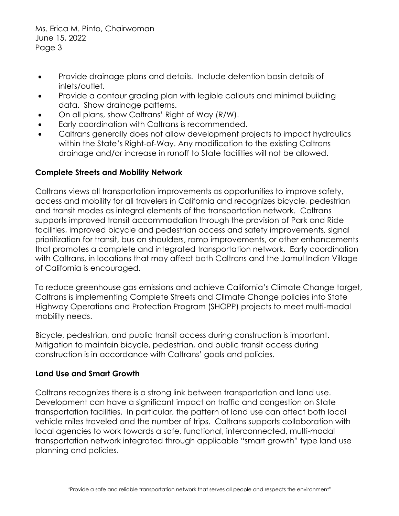- Provide drainage plans and details. Include detention basin details of inlets/outlet.
- Provide a contour grading plan with legible callouts and minimal building data. Show drainage patterns.
- On all plans, show Caltrans' Right of Way (R/W).
- Early coordination with Caltrans is recommended.
- Caltrans generally does not allow development projects to impact hydraulics within the State's Right-of-Way. Any modification to the existing Caltrans drainage and/or increase in runoff to State facilities will not be allowed.

## **Complete Streets and Mobility Network**

Caltrans views all transportation improvements as opportunities to improve safety, access and mobility for all travelers in California and recognizes bicycle, pedestrian and transit modes as integral elements of the transportation network. Caltrans supports improved transit accommodation through the provision of Park and Ride facilities, improved bicycle and pedestrian access and safety improvements, signal prioritization for transit, bus on shoulders, ramp improvements, or other enhancements that promotes a complete and integrated transportation network. Early coordination with Caltrans, in locations that may affect both Caltrans and the Jamul Indian Village of California is encouraged.

To reduce greenhouse gas emissions and achieve California's Climate Change target, Caltrans is implementing Complete Streets and Climate Change policies into State Highway Operations and Protection Program (SHOPP) projects to meet multi-modal mobility needs.

Bicycle, pedestrian, and public transit access during construction is important. Mitigation to maintain bicycle, pedestrian, and public transit access during construction is in accordance with Caltrans' goals and policies.

### **Land Use and Smart Growth**

Caltrans recognizes there is a strong link between transportation and land use. Development can have a significant impact on traffic and congestion on State transportation facilities. In particular, the pattern of land use can affect both local vehicle miles traveled and the number of trips. Caltrans supports collaboration with local agencies to work towards a safe, functional, interconnected, multi-modal transportation network integrated through applicable "smart growth" type land use planning and policies.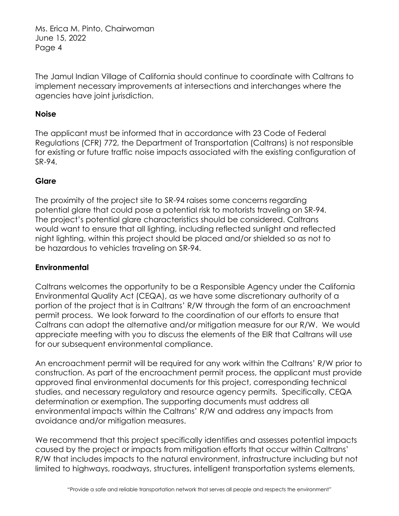The Jamul Indian Village of California should continue to coordinate with Caltrans to implement necessary improvements at intersections and interchanges where the agencies have joint jurisdiction.

## **Noise**

The applicant must be informed that in accordance with 23 Code of Federal Regulations (CFR) 772, the Department of Transportation (Caltrans) is not responsible for existing or future traffic noise impacts associated with the existing configuration of SR-94.

## **Glare**

The proximity of the project site to SR-94 raises some concerns regarding potential glare that could pose a potential risk to motorists traveling on SR-94. The project's potential glare characteristics should be considered. Caltrans would want to ensure that all lighting, including reflected sunlight and reflected night lighting, within this project should be placed and/or shielded so as not to be hazardous to vehicles traveling on SR-94.

### **Environmental**

Caltrans welcomes the opportunity to be a Responsible Agency under the California Environmental Quality Act (CEQA), as we have some discretionary authority of a portion of the project that is in Caltrans' R/W through the form of an encroachment permit process. We look forward to the coordination of our efforts to ensure that Caltrans can adopt the alternative and/or mitigation measure for our R/W. We would appreciate meeting with you to discuss the elements of the EIR that Caltrans will use for our subsequent environmental compliance.

An encroachment permit will be required for any work within the Caltrans' R/W prior to construction. As part of the encroachment permit process, the applicant must provide approved final environmental documents for this project, corresponding technical studies, and necessary regulatory and resource agency permits. Specifically, CEQA determination or exemption. The supporting documents must address all environmental impacts within the Caltrans' R/W and address any impacts from avoidance and/or mitigation measures.

We recommend that this project specifically identifies and assesses potential impacts caused by the project or impacts from mitigation efforts that occur within Caltrans' R/W that includes impacts to the natural environment, infrastructure including but not limited to highways, roadways, structures, intelligent transportation systems elements,